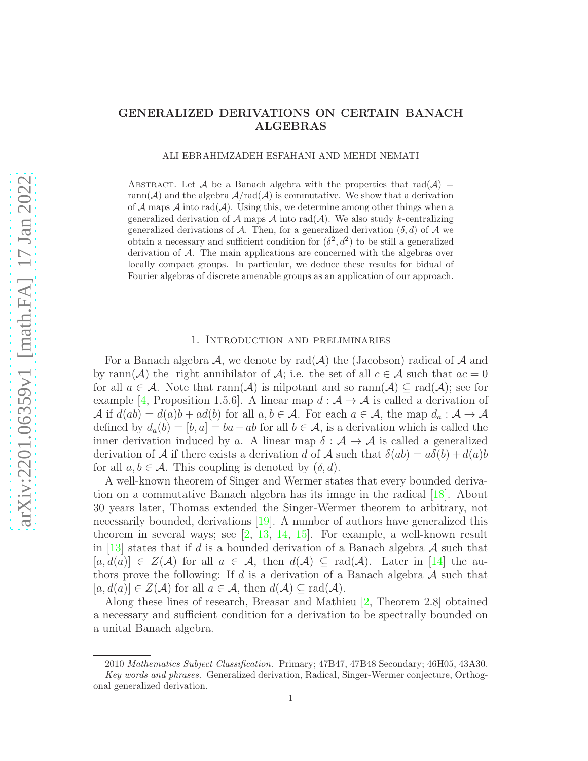# GENERALIZED DERIVATIONS ON CERTAIN BANACH ALGEBRAS

ALI EBRAHIMZADEH ESFAHANI AND MEHDI NEMATI

ABSTRACT. Let A be a Banach algebra with the properties that  $rad(A)$ rann( $A$ ) and the algebra  $A/\text{rad}(A)$  is commutative. We show that a derivation of A maps A into rad(A). Using this, we determine among other things when a generalized derivation of A maps A into rad( $A$ ). We also study k-centralizing generalized derivations of A. Then, for a generalized derivation  $(\delta, d)$  of A we obtain a necessary and sufficient condition for  $(\delta^2, d^2)$  to be still a generalized derivation of A. The main applications are concerned with the algebras over locally compact groups. In particular, we deduce these results for bidual of Fourier algebras of discrete amenable groups as an application of our approach.

# 1. Introduction and preliminaries

For a Banach algebra  $\mathcal{A}$ , we denote by rad $(\mathcal{A})$  the (Jacobson) radical of  $\mathcal{A}$  and by rann(A) the right annihilator of A; i.e. the set of all  $c \in A$  such that  $ac = 0$ for all  $a \in \mathcal{A}$ . Note that  $\text{rann}(\mathcal{A})$  is nilpotant and so  $\text{rann}(\mathcal{A}) \subseteq \text{rad}(\mathcal{A})$ ; see for example [\[4,](#page-15-0) Proposition 1.5.6]. A linear map  $d : A \rightarrow A$  is called a derivation of A if  $d(ab) = d(a)b + ad(b)$  for all  $a, b \in A$ . For each  $a \in A$ , the map  $d_a : A \to A$ defined by  $d_a(b) = [b, a] = ba - ab$  for all  $b \in \mathcal{A}$ , is a derivation which is called the inner derivation induced by a. A linear map  $\delta : \mathcal{A} \to \mathcal{A}$  is called a generalized derivation of A if there exists a derivation d of A such that  $\delta(ab) = a\delta(b) + d(a)b$ for all  $a, b \in \mathcal{A}$ . This coupling is denoted by  $(\delta, d)$ .

A well-known theorem of Singer and Wermer states that every bounded derivation on a commutative Banach algebra has its image in the radical [\[18\]](#page-15-1). About 30 years later, Thomas extended the Singer-Wermer theorem to arbitrary, not necessarily bounded, derivations [\[19\]](#page-15-2). A number of authors have generalized this theorem in several ways; see  $\left[2, 13, 14, 15\right]$  $\left[2, 13, 14, 15\right]$  $\left[2, 13, 14, 15\right]$  $\left[2, 13, 14, 15\right]$  $\left[2, 13, 14, 15\right]$ . For example, a well-known result in [\[13\]](#page-15-4) states that if d is a bounded derivation of a Banach algebra  $\mathcal A$  such that  $[a, d(a)] \in Z(\mathcal{A})$  for all  $a \in \mathcal{A}$ , then  $d(\mathcal{A}) \subseteq rad(\mathcal{A})$ . Later in [\[14\]](#page-15-5) the authors prove the following: If d is a derivation of a Banach algebra  $A$  such that  $[a, d(a)] \in Z(\mathcal{A})$  for all  $a \in \mathcal{A}$ , then  $d(\mathcal{A}) \subset rad(\mathcal{A})$ .

Along these lines of research, Breasar and Mathieu [\[2,](#page-15-3) Theorem 2.8] obtained a necessary and sufficient condition for a derivation to be spectrally bounded on a unital Banach algebra.

<sup>2010</sup> Mathematics Subject Classification. Primary; 47B47, 47B48 Secondary; 46H05, 43A30. Key words and phrases. Generalized derivation, Radical, Singer-Wermer conjecture, Orthogonal generalized derivation.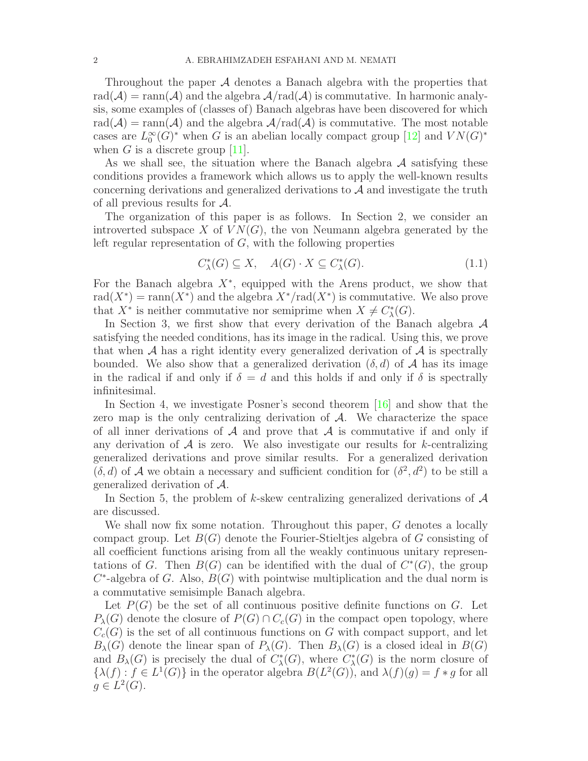Throughout the paper A denotes a Banach algebra with the properties that  $rad(\mathcal{A}) = ram(\mathcal{A})$  and the algebra  $\mathcal{A}/rad(\mathcal{A})$  is commutative. In harmonic analysis, some examples of (classes of) Banach algebras have been discovered for which  $rad(\mathcal{A}) = ram(\mathcal{A})$  and the algebra  $\mathcal{A}/rad(\mathcal{A})$  is commutative. The most notable cases are  $L_0^{\infty}$  $\int_0^\infty G(x)$ <sup>\*</sup> when G is an abelian locally compact group [\[12\]](#page-15-7) and  $VN(G)^*$ when G is a discrete group  $[11]$ .

As we shall see, the situation where the Banach algebra  $A$  satisfying these conditions provides a framework which allows us to apply the well-known results concerning derivations and generalized derivations to A and investigate the truth of all previous results for A.

The organization of this paper is as follows. In Section 2, we consider an introverted subspace X of  $VN(G)$ , the von Neumann algebra generated by the left regular representation of  $G$ , with the following properties

<span id="page-1-0"></span>
$$
C_{\lambda}^*(G) \subseteq X, \quad A(G) \cdot X \subseteq C_{\lambda}^*(G). \tag{1.1}
$$

For the Banach algebra  $X^*$ , equipped with the Arens product, we show that rad( $X^*$ ) = rann( $X^*$ ) and the algebra  $X^*$ /rad( $X^*$ ) is commutative. We also prove that  $X^*$  is neither commutative nor semiprime when  $X \neq C^*_{\lambda}(G)$ .

In Section 3, we first show that every derivation of the Banach algebra  $\mathcal A$ satisfying the needed conditions, has its image in the radical. Using this, we prove that when  $A$  has a right identity every generalized derivation of  $A$  is spectrally bounded. We also show that a generalized derivation  $(\delta, d)$  of A has its image in the radical if and only if  $\delta = d$  and this holds if and only if  $\delta$  is spectrally infinitesimal.

In Section 4, we investigate Posner's second theorem [\[16\]](#page-15-9) and show that the zero map is the only centralizing derivation of  $A$ . We characterize the space of all inner derivations of  $A$  and prove that  $A$  is commutative if and only if any derivation of  $A$  is zero. We also investigate our results for k-centralizing generalized derivations and prove similar results. For a generalized derivation  $(\delta, d)$  of A we obtain a necessary and sufficient condition for  $(\delta^2, d^2)$  to be still a generalized derivation of A.

In Section 5, the problem of k-skew centralizing generalized derivations of  $\mathcal A$ are discussed.

We shall now fix some notation. Throughout this paper, G denotes a locally compact group. Let  $B(G)$  denote the Fourier-Stieltjes algebra of G consisting of all coefficient functions arising from all the weakly continuous unitary representations of G. Then  $B(G)$  can be identified with the dual of  $C^*(G)$ , the group  $C^*$ -algebra of G. Also,  $B(G)$  with pointwise multiplication and the dual norm is a commutative semisimple Banach algebra.

Let  $P(G)$  be the set of all continuous positive definite functions on G. Let  $P_{\lambda}(G)$  denote the closure of  $P(G) \cap C_c(G)$  in the compact open topology, where  $C_c(G)$  is the set of all continuous functions on G with compact support, and let  $B_\lambda(G)$  denote the linear span of  $P_\lambda(G)$ . Then  $B_\lambda(G)$  is a closed ideal in  $B(G)$ and  $B_\lambda(G)$  is precisely the dual of  $C^*_\lambda(G)$ , where  $C^*_\lambda(G)$  is the norm closure of  $\{\lambda(f): f \in L^1(G)\}\$ in the operator algebra  $B(L^2(G))$ , and  $\lambda(f)(g) = f * g$  for all  $g \in L^2(G)$ .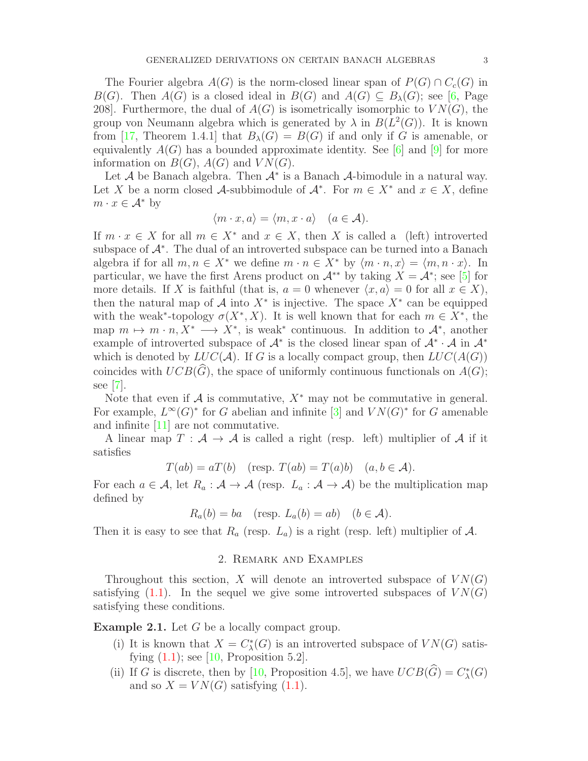The Fourier algebra  $A(G)$  is the norm-closed linear span of  $P(G) \cap C_c(G)$  in  $B(G)$ . Then  $A(G)$  is a closed ideal in  $B(G)$  and  $A(G) \subseteq B_{\lambda}(G)$ ; see [\[6,](#page-15-10) Page 208. Furthermore, the dual of  $A(G)$  is isometrically isomorphic to  $VN(G)$ , the group von Neumann algebra which is generated by  $\lambda$  in  $B(L^2(G))$ . It is known from [\[17,](#page-15-11) Theorem 1.4.1] that  $B_\lambda(G) = B(G)$  if and only if G is amenable, or equivalently  $A(G)$  has a bounded approximate identity. See [\[6\]](#page-15-10) and [\[9\]](#page-15-12) for more information on  $B(G)$ ,  $A(G)$  and  $VN(G)$ .

Let  $A$  be Banach algebra. Then  $A^*$  is a Banach  $A$ -bimodule in a natural way. Let X be a norm closed A-subbimodule of  $A^*$ . For  $m \in X^*$  and  $x \in X$ , define  $m \cdot x \in \mathcal{A}^*$  by

$$
\langle m \cdot x, a \rangle = \langle m, x \cdot a \rangle \quad (a \in \mathcal{A}).
$$

If  $m \cdot x \in X$  for all  $m \in X^*$  and  $x \in X$ , then X is called a (left) introverted subspace of  $\mathcal{A}^*$ . The dual of an introverted subspace can be turned into a Banach algebra if for all  $m, n \in X^*$  we define  $m \cdot n \in X^*$  by  $\langle m \cdot n, x \rangle = \langle m, n \cdot x \rangle$ . In particular, we have the first Arens product on  $\mathcal{A}^{**}$  by taking  $X = \mathcal{A}^*$ ; see [\[5\]](#page-15-13) for more details. If X is faithful (that is,  $a = 0$  whenever  $\langle x, a \rangle = 0$  for all  $x \in X$ ), then the natural map of  $\mathcal A$  into  $X^*$  is injective. The space  $X^*$  can be equipped with the weak<sup>\*</sup>-topology  $\sigma(X^*, X)$ . It is well known that for each  $m \in X^*$ , the map  $m \mapsto m \cdot n, X^* \longrightarrow X^*$ , is weak<sup>\*</sup> continuous. In addition to  $\mathcal{A}^*$ , another example of introverted subspace of  $A^*$  is the closed linear span of  $A^* \cdot A$  in  $A^*$ which is denoted by  $LUC(\mathcal{A})$ . If G is a locally compact group, then  $LUC(A(G))$ coincides with  $UCB(\widehat{G})$ , the space of uniformly continuous functionals on  $A(G)$ ; see [\[7\]](#page-15-14).

Note that even if  $A$  is commutative,  $X^*$  may not be commutative in general. For example,  $L^{\infty}(G)^*$  for G abelian and infinite [\[3\]](#page-15-15) and  $VN(G)^*$  for G amenable and infinite [\[11\]](#page-15-8) are not commutative.

A linear map  $T : A \rightarrow A$  is called a right (resp. left) multiplier of A if it satisfies

$$
T(ab) = aT(b) \quad (\text{resp. } T(ab) = T(a)b) \quad (a, b \in \mathcal{A}).
$$

For each  $a \in \mathcal{A}$ , let  $R_a : \mathcal{A} \to \mathcal{A}$  (resp.  $L_a : \mathcal{A} \to \mathcal{A}$ ) be the multiplication map defined by

$$
R_a(b) = ba
$$
 (resp.  $L_a(b) = ab$ )  $(b \in \mathcal{A})$ .

Then it is easy to see that  $R_a$  (resp.  $L_a$ ) is a right (resp. left) multiplier of A.

# 2. Remark and Examples

Throughout this section, X will denote an introverted subspace of  $VN(G)$ satisfying  $(1.1)$ . In the sequel we give some introverted subspaces of  $VN(G)$ satisfying these conditions.

<span id="page-2-0"></span>**Example 2.1.** Let G be a locally compact group.

- (i) It is known that  $X = C^*_\lambda(G)$  is an introverted subspace of  $VN(G)$  satisfying  $(1.1)$ ; see [\[10,](#page-15-16) Proposition 5.2].
- (ii) If G is discrete, then by [\[10,](#page-15-16) Proposition 4.5], we have  $UCB(\widehat{G}) = C_{\lambda}^{*}(G)$ and so  $X = VN(G)$  satisfying [\(1.1\)](#page-1-0).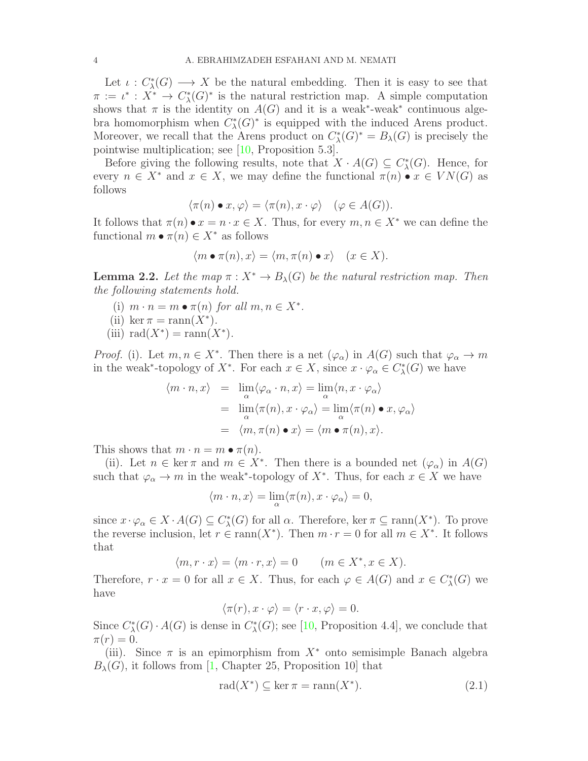Let  $\iota: C^*_{\lambda}(G) \longrightarrow X$  be the natural embedding. Then it is easy to see that  $\pi := \iota^* : X^* \to C^*_{\lambda}(G)^*$  is the natural restriction map. A simple computation shows that  $\pi$  is the identity on  $A(G)$  and it is a weak<sup>\*</sup>-weak<sup>\*</sup> continuous algebra homomorphism when  $C_{\lambda}^{*}(G)^{*}$  is equipped with the induced Arens product. Moreover, we recall that the Arens product on  $C_{\lambda}^{*}(G)^{*} = B_{\lambda}(G)$  is precisely the pointwise multiplication; see [\[10,](#page-15-16) Proposition 5.3].

Before giving the following results, note that  $X \cdot A(G) \subseteq C^*_\lambda(G)$ . Hence, for every  $n \in X^*$  and  $x \in X$ , we may define the functional  $\pi(n) \bullet x \in VN(G)$  as follows

$$
\langle \pi(n) \bullet x, \varphi \rangle = \langle \pi(n), x \cdot \varphi \rangle \quad (\varphi \in A(G)).
$$

It follows that  $\pi(n) \bullet x = n \cdot x \in X$ . Thus, for every  $m, n \in X^*$  we can define the functional  $m \bullet \pi(n) \in X^*$  as follows

$$
\langle m \bullet \pi(n), x \rangle = \langle m, \pi(n) \bullet x \rangle \quad (x \in X).
$$

<span id="page-3-0"></span>**Lemma 2.2.** Let the map  $\pi : X^* \to B_\lambda(G)$  be the natural restriction map. Then the following statements hold.

- (i)  $m \cdot n = m \bullet \pi(n)$  for all  $m, n \in X^*$ .
- (ii) ker  $\pi = \text{rann}(X^*)$ .
- (iii)  $rad(X^*) = ram(X^*)$ .

*Proof.* (i). Let  $m, n \in X^*$ . Then there is a net  $(\varphi_{\alpha})$  in  $A(G)$  such that  $\varphi_{\alpha} \to m$ in the weak<sup>\*</sup>-topology of X<sup>\*</sup>. For each  $x \in X$ , since  $x \cdot \varphi_\alpha \in C^*_\lambda(G)$  we have

$$
\langle m \cdot n, x \rangle = \lim_{\alpha} \langle \varphi_{\alpha} \cdot n, x \rangle = \lim_{\alpha} \langle n, x \cdot \varphi_{\alpha} \rangle
$$
  
= 
$$
\lim_{\alpha} \langle \pi(n), x \cdot \varphi_{\alpha} \rangle = \lim_{\alpha} \langle \pi(n) \bullet x, \varphi_{\alpha} \rangle
$$
  
= 
$$
\langle m, \pi(n) \bullet x \rangle = \langle m \bullet \pi(n), x \rangle.
$$

This shows that  $m \cdot n = m \bullet \pi(n)$ .

(ii). Let  $n \in \text{ker } \pi$  and  $m \in X^*$ . Then there is a bounded net  $(\varphi_\alpha)$  in  $A(G)$ such that  $\varphi_{\alpha} \to m$  in the weak<sup>\*</sup>-topology of  $X^*$ . Thus, for each  $x \in X$  we have

$$
\langle m \cdot n, x \rangle = \lim_{\alpha} \langle \pi(n), x \cdot \varphi_{\alpha} \rangle = 0,
$$

since  $x \cdot \varphi_\alpha \in X \cdot A(G) \subseteq C^*_\lambda(G)$  for all  $\alpha$ . Therefore, ker  $\pi \subseteq \text{rann}(X^*)$ . To prove the reverse inclusion, let  $r \in \text{rann}(X^*)$ . Then  $m \cdot r = 0$  for all  $m \in X^*$ . It follows that

$$
\langle m, r \cdot x \rangle = \langle m \cdot r, x \rangle = 0 \qquad (m \in X^*, x \in X).
$$

Therefore,  $r \cdot x = 0$  for all  $x \in X$ . Thus, for each  $\varphi \in A(G)$  and  $x \in C_{\lambda}^{*}(G)$  we have

$$
\langle \pi(r), x \cdot \varphi \rangle = \langle r \cdot x, \varphi \rangle = 0.
$$

Since  $C^*_{\lambda}(G) \cdot A(G)$  is dense in  $C^*_{\lambda}(G)$ ; see [\[10,](#page-15-16) Proposition 4.4], we conclude that  $\pi(r) = 0.$ 

(iii). Since  $\pi$  is an epimorphism from  $X^*$  onto semisimple Banach algebra  $B_{\lambda}(G)$ , it follows from [\[1,](#page-15-17) Chapter 25, Proposition 10] that

$$
\operatorname{rad}(X^*) \subseteq \ker \pi = \operatorname{rann}(X^*). \tag{2.1}
$$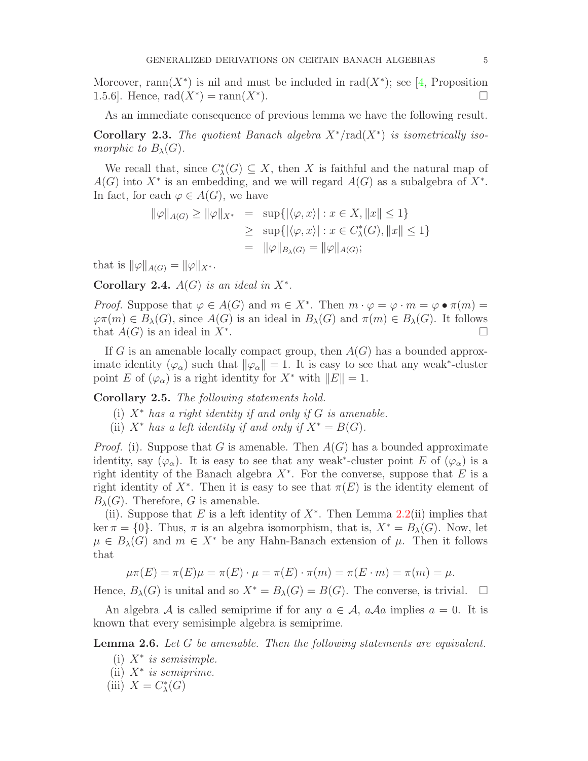Moreover, rann $(X^*)$  is nil and must be included in rad $(X^*)$ ; see [\[4,](#page-15-0) Proposition 1.5.6]. Hence,  $rad(X^*) = ram(X^*)$ ).

As an immediate consequence of previous lemma we have the following result.

Corollary 2.3. The quotient Banach algebra  $X^*$ /rad $(X^*)$  is isometrically isomorphic to  $B_\lambda(G)$ .

We recall that, since  $C^*_{\lambda}(G) \subseteq X$ , then X is faithful and the natural map of  $A(G)$  into  $X^*$  is an embedding, and we will regard  $A(G)$  as a subalgebra of  $X^*$ . In fact, for each  $\varphi \in A(G)$ , we have

$$
\|\varphi\|_{A(G)} \ge \|\varphi\|_{X^*} = \sup \{ |\langle \varphi, x \rangle| : x \in X, \|x\| \le 1 \}
$$
  

$$
\ge \sup \{ |\langle \varphi, x \rangle| : x \in C^*_\lambda(G), \|x\| \le 1 \}
$$
  

$$
= \|\varphi\|_{B_\lambda(G)} = \|\varphi\|_{A(G)};
$$

that is  $\|\varphi\|_{A(G)} = \|\varphi\|_{X^*}$ .

Corollary 2.4.  $A(G)$  is an ideal in  $X^*$ .

*Proof.* Suppose that  $\varphi \in A(G)$  and  $m \in X^*$ . Then  $m \cdot \varphi = \varphi \cdot m = \varphi \cdot \pi(m) =$  $\varphi \pi(m) \in B_\lambda(G)$ , since  $A(G)$  is an ideal in  $B_\lambda(G)$  and  $\pi(m) \in B_\lambda(G)$ . It follows that  $A(G)$  is an ideal in  $X^*$ .  $\Box$ 

If G is an amenable locally compact group, then  $A(G)$  has a bounded approximate identity  $(\varphi_{\alpha})$  such that  $\|\varphi_{\alpha}\| = 1$ . It is easy to see that any weak<sup>\*</sup>-cluster point E of  $(\varphi_{\alpha})$  is a right identity for  $X^*$  with  $||E|| = 1$ .

<span id="page-4-0"></span>Corollary 2.5. The following statements hold.

- (i)  $X^*$  has a right identity if and only if G is amenable.
- (ii)  $X^*$  has a left identity if and only if  $X^* = B(G)$ .

*Proof.* (i). Suppose that G is amenable. Then  $A(G)$  has a bounded approximate identity, say  $(\varphi_{\alpha})$ . It is easy to see that any weak<sup>\*</sup>-cluster point E of  $(\varphi_{\alpha})$  is a right identity of the Banach algebra  $X^*$ . For the converse, suppose that E is a right identity of  $X^*$ . Then it is easy to see that  $\pi(E)$  is the identity element of  $B_{\lambda}(G)$ . Therefore, G is amenable.

(ii). Suppose that E is a left identity of  $X^*$ . Then Lemma [2.2\(](#page-3-0)ii) implies that ker  $\pi = \{0\}$ . Thus,  $\pi$  is an algebra isomorphism, that is,  $X^* = B_\lambda(G)$ . Now, let  $\mu \in B_{\lambda}(G)$  and  $m \in X^*$  be any Hahn-Banach extension of  $\mu$ . Then it follows that

 $\mu \pi(E) = \pi(E) \mu = \pi(E) \cdot \mu = \pi(E) \cdot \pi(m) = \pi(E \cdot m) = \pi(m) = \mu.$ 

Hence,  $B_\lambda(G)$  is unital and so  $X^* = B_\lambda(G) = B(G)$ . The converse, is trivial.  $\square$ 

An algebra A is called semiprime if for any  $a \in \mathcal{A}$ ,  $a\mathcal{A}a$  implies  $a = 0$ . It is known that every semisimple algebra is semiprime.

<span id="page-4-1"></span>**Lemma 2.6.** Let G be amenable. Then the following statements are equivalent.

- (i)  $X^*$  is semisimple.
- (ii) X<sup>∗</sup> is semiprime.
- (iii)  $X = C^*_\lambda(G)$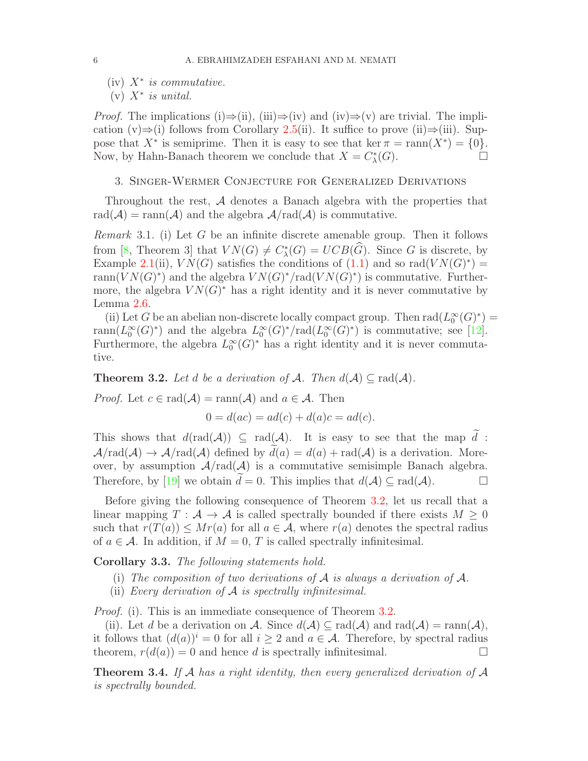(iv)  $X^*$  is commutative.

 $(v)$   $X^*$  is unital.

*Proof.* The implications (i)⇒(ii), (iii)⇒(iv) and (iv)⇒(v) are trivial. The implication  $(v) \Rightarrow (i)$  follows from Corollary [2.5\(](#page-4-0)ii). It suffice to prove (ii) $\Rightarrow$ (iii). Suppose that  $X^*$  is semiprime. Then it is easy to see that ker  $\pi = \text{rann}(X^*) = \{0\}.$ Now, by Hahn-Banach theorem we conclude that  $X = C_{\lambda}^*(G)$ .

## 3. Singer-Wermer Conjecture for Generalized Derivations

Throughout the rest, A denotes a Banach algebra with the properties that  $rad(\mathcal{A}) = ram(\mathcal{A})$  and the algebra  $\mathcal{A}/rad(\mathcal{A})$  is commutative.

*Remark* 3.1. (i) Let G be an infinite discrete amenable group. Then it follows from [\[8,](#page-15-18) Theorem 3] that  $VN(G) \neq C_{\lambda}^{*}(G) = UCB(\widehat{G})$ . Since G is discrete, by Example [2.1\(](#page-2-0)ii),  $VN(G)$  satisfies the conditions of [\(1.1\)](#page-1-0) and so rad $(VN(G)^*)$  = rann $(VN(G)^*)$  and the algebra  $VN(G)^*/rad(VN(G)^*)$  is commutative. Furthermore, the algebra  $VN(G)^*$  has a right identity and it is never commutative by Lemma [2.6.](#page-4-1)

(ii) Let G be an abelian non-discrete locally compact group. Then  $\text{rad}(L_0^{\infty})$  $_0^\infty(G)^*$ ) =  $\operatorname{rann}(L_0^\infty)$  $_{0}^{\infty}(G)^{*}$  and the algebra  $L_{0}^{\infty}$  $_{0}^{\infty}(G)^{*}/\text{rad}(L_{0}^{\infty}% (G),\mathcal{C}(G))$  $\widetilde{\mathfrak{g}}(G)^*$  is commutative; see [\[12\]](#page-15-7). Furthermore, the algebra  $L_0^{\infty}$  $\int_0^\infty$  (G)<sup>\*</sup> has a right identity and it is never commutative.

<span id="page-5-0"></span>**Theorem 3.2.** Let d be a derivation of A. Then  $d(A) \subset rad(A)$ .

*Proof.* Let  $c \in rad(\mathcal{A}) = ram(\mathcal{A})$  and  $a \in \mathcal{A}$ . Then

$$
0 = d(ac) = ad(c) + d(a)c = ad(c).
$$

This shows that  $d(\text{rad}(\mathcal{A})) \subseteq \text{rad}(\mathcal{A})$ . It is easy to see that the map  $\tilde{d}$ :  $\mathcal{A}/\text{rad}(\mathcal{A}) \to \mathcal{A}/\text{rad}(\mathcal{A})$  defined by  $d(a) = d(a) + \text{rad}(\mathcal{A})$  is a derivation. Moreover, by assumption  $A/rad(A)$  is a commutative semisimple Banach algebra. Therefore, by [\[19\]](#page-15-2) we obtain  $d=0$ . This implies that  $d(\mathcal{A}) \subset rad(\mathcal{A})$ .

Before giving the following consequence of Theorem [3.2,](#page-5-0) let us recall that a linear mapping  $T : A \to A$  is called spectrally bounded if there exists  $M \geq 0$ such that  $r(T(a)) \leq Mr(a)$  for all  $a \in \mathcal{A}$ , where  $r(a)$  denotes the spectral radius of  $a \in \mathcal{A}$ . In addition, if  $M = 0$ , T is called spectrally infinitesimal.

<span id="page-5-1"></span>Corollary 3.3. The following statements hold.

- (i) The composition of two derivations of A is always a derivation of  $\mathcal{A}$ .
- (ii) Every derivation of  $A$  is spectrally infinitesimal.

*Proof.* (i). This is an immediate consequence of Theorem [3.2.](#page-5-0)

(ii). Let d be a derivation on A. Since  $d(\mathcal{A}) \subset rad(\mathcal{A})$  and  $rad(\mathcal{A}) = ram(\mathcal{A})$ , it follows that  $(d(a))^i = 0$  for all  $i \geq 2$  and  $a \in \mathcal{A}$ . Therefore, by spectral radius theorem,  $r(d(a)) = 0$  and hence d is spectrally infinitesimal.

**Theorem 3.4.** If A has a right identity, then every generalized derivation of A is spectrally bounded.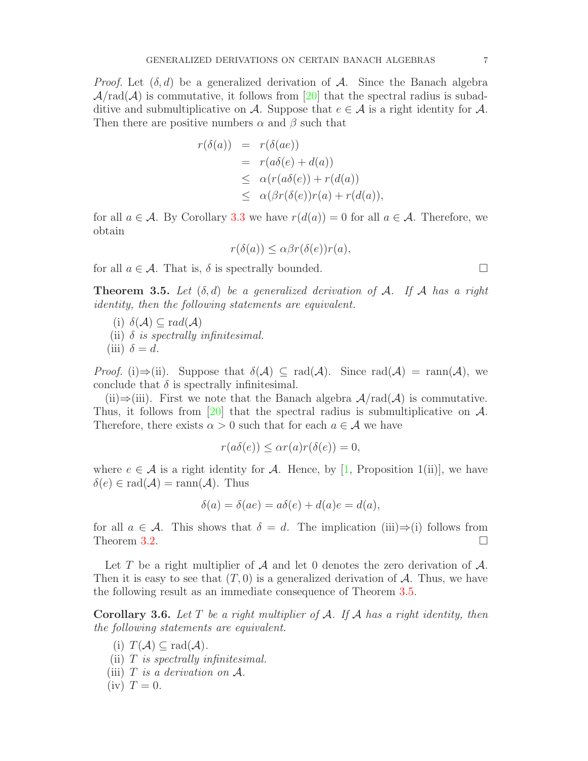*Proof.* Let  $(\delta, d)$  be a generalized derivation of A. Since the Banach algebra  $\mathcal{A}/\text{rad}(\mathcal{A})$  is commutative, it follows from [\[20\]](#page-15-19) that the spectral radius is subadditive and submultiplicative on A. Suppose that  $e \in A$  is a right identity for A. Then there are positive numbers  $\alpha$  and  $\beta$  such that

$$
r(\delta(a)) = r(\delta(ae))
$$
  
=  $r(a\delta(e) + d(a))$   

$$
\leq \alpha(r(a\delta(e)) + r(d(a))
$$
  

$$
\leq \alpha(\beta r(\delta(e))r(a) + r(d(a)),
$$

for all  $a \in \mathcal{A}$ . By Corollary [3.3](#page-5-1) we have  $r(d(a)) = 0$  for all  $a \in \mathcal{A}$ . Therefore, we obtain

$$
r(\delta(a)) \leq \alpha \beta r(\delta(e))r(a),
$$

for all  $a \in \mathcal{A}$ . That is,  $\delta$  is spectrally bounded.

<span id="page-6-0"></span>**Theorem 3.5.** Let  $(\delta, d)$  be a generalized derivation of A. If A has a right identity, then the following statements are equivalent.

- (i)  $\delta(\mathcal{A}) \subseteq rad(\mathcal{A})$
- (ii)  $\delta$  is spectrally infinitesimal.
- (iii)  $\delta = d$ .

*Proof.* (i)⇒(ii). Suppose that  $\delta(\mathcal{A}) \subseteq rad(\mathcal{A})$ . Since  $rad(\mathcal{A}) = ram(\mathcal{A})$ , we conclude that  $\delta$  is spectrally infinitesimal.

(ii)⇒(iii). First we note that the Banach algebra  $\mathcal{A}/\text{rad}(\mathcal{A})$  is commutative. Thus, it follows from [\[20\]](#page-15-19) that the spectral radius is submultiplicative on  $\mathcal{A}$ . Therefore, there exists  $\alpha > 0$  such that for each  $a \in \mathcal{A}$  we have

$$
r(a\delta(e)) \le \alpha r(a)r(\delta(e)) = 0,
$$

where  $e \in \mathcal{A}$  is a right identity for  $\mathcal{A}$ . Hence, by [\[1,](#page-15-17) Proposition 1(ii)], we have  $\delta(e) \in \text{rad}(\mathcal{A}) = \text{rann}(\mathcal{A})$ . Thus

$$
\delta(a) = \delta(ae) = a\delta(e) + d(a)e = d(a),
$$

for all  $a \in \mathcal{A}$ . This shows that  $\delta = d$ . The implication (iii)⇒(i) follows from Theorem [3.2.](#page-5-0)

Let T be a right multiplier of  $A$  and let 0 denotes the zero derivation of  $A$ . Then it is easy to see that  $(T, 0)$  is a generalized derivation of A. Thus, we have the following result as an immediate consequence of Theorem [3.5.](#page-6-0)

**Corollary 3.6.** Let  $T$  be a right multiplier of  $A$ . If  $A$  has a right identity, then the following statements are equivalent.

- (i)  $T(A) \subseteq rad(A)$ . (ii)  $T$  is spectrally infinitesimal.
- (iii)  $T$  is a derivation on  $A$ .
- $(iv)$   $T = 0$ .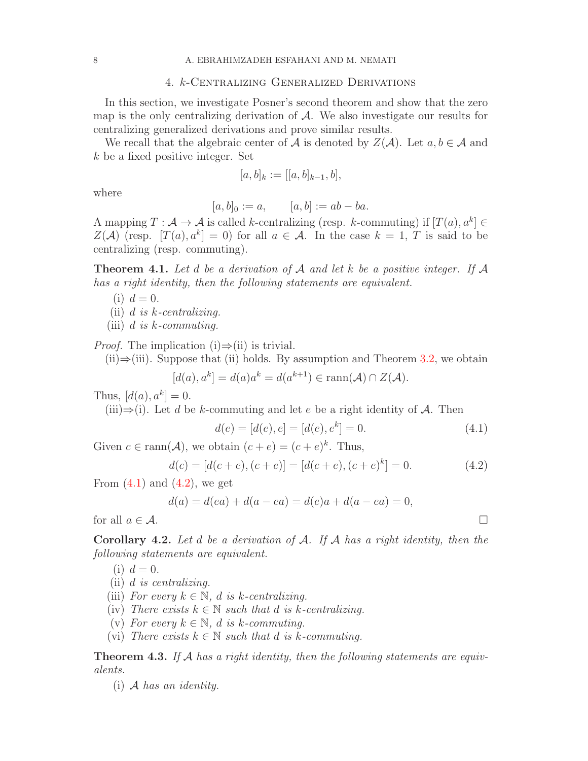#### 4. k-Centralizing Generalized Derivations

In this section, we investigate Posner's second theorem and show that the zero map is the only centralizing derivation of  $A$ . We also investigate our results for centralizing generalized derivations and prove similar results.

We recall that the algebraic center of A is denoted by  $Z(\mathcal{A})$ . Let  $a, b \in \mathcal{A}$  and k be a fixed positive integer. Set

$$
[a,b]_k := [[a,b]_{k-1},b],
$$

where

$$
[a, b]_0 := a,
$$
  $[a, b] := ab - ba.$ 

A mapping  $T : \mathcal{A} \to \mathcal{A}$  is called k-centralizing (resp. k-commuting) if  $[T(a), a^k] \in$  $Z(\mathcal{A})$  (resp.  $[T(a), a^k] = 0$ ) for all  $a \in \mathcal{A}$ . In the case  $k = 1, T$  is said to be centralizing (resp. commuting).

<span id="page-7-2"></span>**Theorem 4.1.** Let d be a derivation of A and let k be a positive integer. If A has a right identity, then the following statements are equivalent.

- (i)  $d = 0$ .
- (ii) d is  $k$ -centralizing.
- (iii)  $d$  is  $k$ -commuting.

*Proof.* The implication (i) $\Rightarrow$ (ii) is trivial.

 $(iii) \Rightarrow (iii)$ . Suppose that (ii) holds. By assumption and Theorem [3.2,](#page-5-0) we obtain

$$
[d(a), a^k] = d(a)a^k = d(a^{k+1}) \in \text{rann}(\mathcal{A}) \cap Z(\mathcal{A}).
$$

Thus,  $[d(a), a^k] = 0$ .

(iii) $\Rightarrow$ (i). Let d be k-commuting and let e be a right identity of A. Then

<span id="page-7-0"></span>
$$
d(e) = [d(e), e] = [d(e), ek] = 0.
$$
\n(4.1)

Given  $c \in \text{rann}(\mathcal{A})$ , we obtain  $(c + e) = (c + e)^k$ . Thus,

<span id="page-7-1"></span>
$$
d(c) = [d(c+e), (c+e)] = [d(c+e), (c+e)^{k}] = 0.
$$
\n(4.2)

From  $(4.1)$  and  $(4.2)$ , we get

$$
d(a) = d(ea) + d(a - ea) = d(e)a + d(a - ea) = 0,
$$

for all  $a \in \mathcal{A}$ .

**Corollary 4.2.** Let  $d$  be a derivation of  $A$ . If  $A$  has a right identity, then the following statements are equivalent.

(i)  $d = 0$ .

- (ii) d is centralizing.
- (iii) For every  $k \in \mathbb{N}$ , d is k-centralizing.
- (iv) There exists  $k \in \mathbb{N}$  such that d is k-centralizing.
- (v) For every  $k \in \mathbb{N}$ , d is k-commuting.
- (vi) There exists  $k \in \mathbb{N}$  such that d is k-commuting.

**Theorem 4.3.** If A has a right identity, then the following statements are equivalents.

 $(i)$  A has an identity.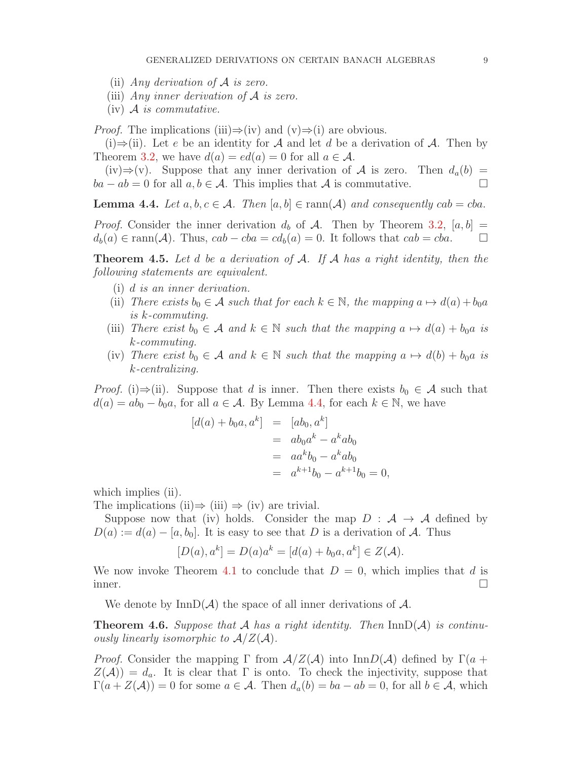- (ii) Any derivation of  $A$  is zero.
- (iii) Any inner derivation of  $A$  is zero.
- $(iv)$  A is commutative.

*Proof.* The implications (iii) $\Rightarrow$ (iv) and (v) $\Rightarrow$ (i) are obvious.

(i)⇒(ii). Let e be an identity for A and let d be a derivation of A. Then by Theorem [3.2,](#page-5-0) we have  $d(a) = ed(a) = 0$  for all  $a \in \mathcal{A}$ .

(iv)⇒(v). Suppose that any inner derivation of A is zero. Then  $d_a(b)$  =  $ba - ab = 0$  for all  $a, b \in \mathcal{A}$ . This implies that  $\mathcal{A}$  is commutative.

<span id="page-8-0"></span>**Lemma 4.4.** Let  $a, b, c \in \mathcal{A}$ . Then  $[a, b] \in \text{rann}(\mathcal{A})$  and consequently  $cab = cba$ .

*Proof.* Consider the inner derivation  $d_b$  of A. Then by Theorem [3.2,](#page-5-0)  $[a, b]$  =  $d_b(a) \in \text{rann}(\mathcal{A})$ . Thus,  $cab - cba = cd_b(a) = 0$ . It follows that  $cab = cba$ .  $\Box$ 

**Theorem 4.5.** Let d be a derivation of A. If A has a right identity, then the following statements are equivalent.

- (i) d is an inner derivation.
- (ii) There exists  $b_0 \in \mathcal{A}$  such that for each  $k \in \mathbb{N}$ , the mapping  $a \mapsto d(a) + b_0a$ is k-commuting.
- (iii) There exist  $b_0 \in \mathcal{A}$  and  $k \in \mathbb{N}$  such that the mapping  $a \mapsto d(a) + b_0 a$  is k-commuting.
- (iv) There exist  $b_0 \in \mathcal{A}$  and  $k \in \mathbb{N}$  such that the mapping  $a \mapsto d(b) + b_0 a$  is k-centralizing.

*Proof.* (i)⇒(ii). Suppose that d is inner. Then there exists  $b_0 \in \mathcal{A}$  such that  $d(a) = ab_0 - b_0a$ , for all  $a \in \mathcal{A}$ . By Lemma [4.4,](#page-8-0) for each  $k \in \mathbb{N}$ , we have

$$
[d(a) + b_0 a, a^k] = [ab_0, a^k]
$$
  
=  $ab_0 a^k - a^k ab_0$   
=  $aa^k b_0 - a^k ab_0$   
=  $a^{k+1} b_0 - a^{k+1} b_0 = 0$ ,

which implies (ii).

The implications (ii)  $\Rightarrow$  (iii)  $\Rightarrow$  (iv) are trivial.

Suppose now that (iv) holds. Consider the map  $D : A \rightarrow A$  defined by  $D(a) := d(a) - [a, b_0]$ . It is easy to see that D is a derivation of A. Thus

$$
[D(a), a^k] = D(a)a^k = [d(a) + b_0a, a^k] \in Z(\mathcal{A}).
$$

We now invoke Theorem [4.1](#page-7-2) to conclude that  $D = 0$ , which implies that d is inner.

We denote by  $\text{InnD}(\mathcal{A})$  the space of all inner derivations of  $\mathcal{A}$ .

**Theorem 4.6.** Suppose that A has a right identity. Then  $InnD(\mathcal{A})$  is continuously linearly isomorphic to  $A/Z(A)$ .

*Proof.* Consider the mapping  $\Gamma$  from  $A/Z(A)$  into  $\text{Inn}D(A)$  defined by  $\Gamma(a +$  $Z(\mathcal{A})=d_a$ . It is clear that  $\Gamma$  is onto. To check the injectivity, suppose that  $\Gamma(a+Z(\mathcal{A}))=0$  for some  $a\in\mathcal{A}$ . Then  $d_a(b)=ba-ab=0$ , for all  $b\in\mathcal{A}$ , which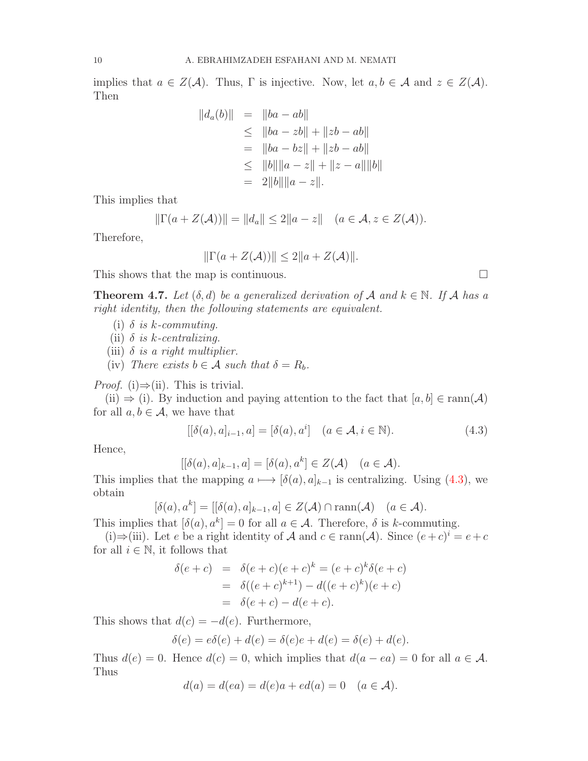implies that  $a \in Z(\mathcal{A})$ . Thus,  $\Gamma$  is injective. Now, let  $a, b \in \mathcal{A}$  and  $z \in Z(\mathcal{A})$ . Then

$$
||d_a(b)|| = ||ba - ab||
$$
  
\n
$$
\le ||ba - zb|| + ||zb - ab||
$$
  
\n
$$
= ||ba - bz|| + ||zb - ab||
$$
  
\n
$$
\le ||b|| ||a - z|| + ||z - a|| ||b||
$$
  
\n
$$
= 2||b|| ||a - z||.
$$

This implies that

$$
\|\Gamma(a+Z(\mathcal{A}))\| = \|d_a\| \le 2\|a-z\| \quad (a \in \mathcal{A}, z \in Z(\mathcal{A})).
$$

Therefore,

$$
\|\Gamma(a+Z(\mathcal{A}))\| \le 2\|a+Z(\mathcal{A})\|.
$$

This shows that the map is continuous.  $\Box$ 

<span id="page-9-1"></span>**Theorem 4.7.** Let  $(\delta, d)$  be a generalized derivation of A and  $k \in \mathbb{N}$ . If A has a right identity, then the following statements are equivalent.

- (i)  $\delta$  is k-commuting.
- (ii)  $\delta$  is k-centralizing.
- (iii)  $\delta$  is a right multiplier.
- (iv) There exists  $b \in \mathcal{A}$  such that  $\delta = R_b$ .

*Proof.* (i) $\Rightarrow$ (ii). This is trivial.

(ii)  $\Rightarrow$  (i). By induction and paying attention to the fact that  $[a, b] \in \text{rann}(\mathcal{A})$ for all  $a, b \in \mathcal{A}$ , we have that

<span id="page-9-0"></span>
$$
[[\delta(a), a]_{i-1}, a] = [\delta(a), a^i] \quad (a \in \mathcal{A}, i \in \mathbb{N}).
$$
\n(4.3)

Hence,

$$
[[\delta(a),a]_{k-1},a] = [\delta(a),a^k] \in Z(\mathcal{A}) \quad (a \in \mathcal{A}).
$$

This implies that the mapping  $a \mapsto [\delta(a), a]_{k-1}$  is centralizing. Using [\(4.3\)](#page-9-0), we obtain

$$
[\delta(a), a^k] = [[\delta(a), a]_{k-1}, a] \in Z(\mathcal{A}) \cap \text{rann}(\mathcal{A}) \quad (a \in \mathcal{A}).
$$

This implies that  $[\delta(a), a^k] = 0$  for all  $a \in \mathcal{A}$ . Therefore,  $\delta$  is k-commuting.

(i)⇒(iii). Let e be a right identity of A and  $c \in \text{rann}(\mathcal{A})$ . Since  $(e+c)^i = e+c$ for all  $i \in \mathbb{N}$ , it follows that

$$
\delta(e + c) = \delta(e + c)(e + c)^k = (e + c)^k \delta(e + c)
$$
  
= 
$$
\delta((e + c)^{k+1}) - d((e + c)^k)(e + c)
$$
  
= 
$$
\delta(e + c) - d(e + c).
$$

This shows that  $d(c) = -d(e)$ . Furthermore,

$$
\delta(e) = e\delta(e) + d(e) = \delta(e)e + d(e) = \delta(e) + d(e).
$$

Thus  $d(e) = 0$ . Hence  $d(c) = 0$ , which implies that  $d(a - ea) = 0$  for all  $a \in \mathcal{A}$ . Thus

$$
d(a) = d(ea) = d(e)a + ed(a) = 0
$$
  $(a \in A).$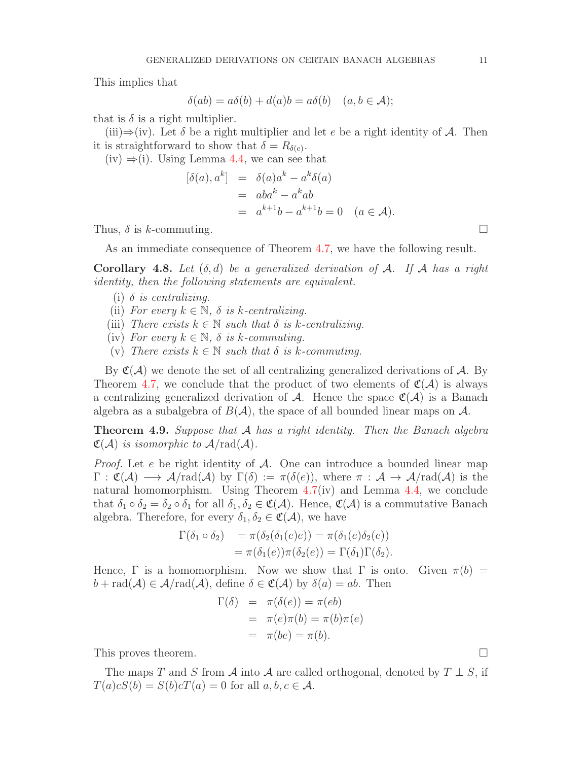This implies that

$$
\delta(ab) = a\delta(b) + d(a)b = a\delta(b) \quad (a, b \in \mathcal{A});
$$

that is  $\delta$  is a right multiplier.

(iii) $\Rightarrow$ (iv). Let  $\delta$  be a right multiplier and let e be a right identity of A. Then it is straightforward to show that  $\delta = R_{\delta(e)}$ .

 $(iv) \Rightarrow (i)$ . Using Lemma [4.4,](#page-8-0) we can see that

$$
[\delta(a), a^k] = \delta(a)a^k - a^k \delta(a)
$$
  
=  $aba^k - a^k ab$   
=  $a^{k+1}b - a^{k+1}b = 0$   $(a \in \mathcal{A}).$ 

Thus,  $\delta$  is k-commuting.

As an immediate consequence of Theorem [4.7,](#page-9-1) we have the following result.

Corollary 4.8. Let  $(\delta, d)$  be a generalized derivation of A. If A has a right identity, then the following statements are equivalent.

- (i)  $\delta$  is centralizing.
- (ii) For every  $k \in \mathbb{N}$ ,  $\delta$  is k-centralizing.
- (iii) There exists  $k \in \mathbb{N}$  such that  $\delta$  is k-centralizing.
- (iv) For every  $k \in \mathbb{N}$ ,  $\delta$  is k-commuting.
- (v) There exists  $k \in \mathbb{N}$  such that  $\delta$  is k-commuting.

By  $\mathfrak{C}(\mathcal{A})$  we denote the set of all centralizing generalized derivations of  $\mathcal{A}$ . By Theorem [4.7,](#page-9-1) we conclude that the product of two elements of  $\mathfrak{C}(\mathcal{A})$  is always a centralizing generalized derivation of A. Hence the space  $\mathfrak{C}(\mathcal{A})$  is a Banach algebra as a subalgebra of  $B(\mathcal{A})$ , the space of all bounded linear maps on  $\mathcal{A}$ .

**Theorem 4.9.** Suppose that  $\mathcal A$  has a right identity. Then the Banach algebra  $\mathfrak{C}(\mathcal{A})$  is isomorphic to  $\mathcal{A}/\text{rad}(\mathcal{A})$ .

*Proof.* Let e be right identity of  $A$ . One can introduce a bounded linear map  $\Gamma : \mathfrak{C}(\mathcal{A}) \longrightarrow \mathcal{A}/\text{rad}(\mathcal{A})$  by  $\Gamma(\delta) := \pi(\delta(e)),$  where  $\pi : \mathcal{A} \longrightarrow \mathcal{A}/\text{rad}(\mathcal{A})$  is the natural homomorphism. Using Theorem  $4.7(iv)$  $4.7(iv)$  and Lemma  $4.4$ , we conclude that  $\delta_1 \circ \delta_2 = \delta_2 \circ \delta_1$  for all  $\delta_1, \delta_2 \in \mathfrak{C}(\mathcal{A})$ . Hence,  $\mathfrak{C}(\mathcal{A})$  is a commutative Banach algebra. Therefore, for every  $\delta_1, \delta_2 \in \mathfrak{C}(\mathcal{A})$ , we have

$$
\Gamma(\delta_1 \circ \delta_2) = \pi(\delta_2(\delta_1(e)e)) = \pi(\delta_1(e)\delta_2(e))
$$
  
=  $\pi(\delta_1(e))\pi(\delta_2(e)) = \Gamma(\delta_1)\Gamma(\delta_2).$ 

Hence,  $\Gamma$  is a homomorphism. Now we show that  $\Gamma$  is onto. Given  $\pi(b)$  =  $b + rad(A) \in \mathcal{A}/rad(\mathcal{A})$ , define  $\delta \in \mathfrak{C}(\mathcal{A})$  by  $\delta(a) = ab$ . Then

$$
\Gamma(\delta) = \pi(\delta(e)) = \pi(eb)
$$
  
=  $\pi(e)\pi(b) = \pi(b)\pi(e)$   
=  $\pi(be) = \pi(b)$ .

This proves theorem.

The maps T and S from A into A are called orthogonal, denoted by  $T \perp S$ , if  $T(a)cS(b) = S(b)cT(a) = 0$  for all  $a, b, c \in \mathcal{A}$ .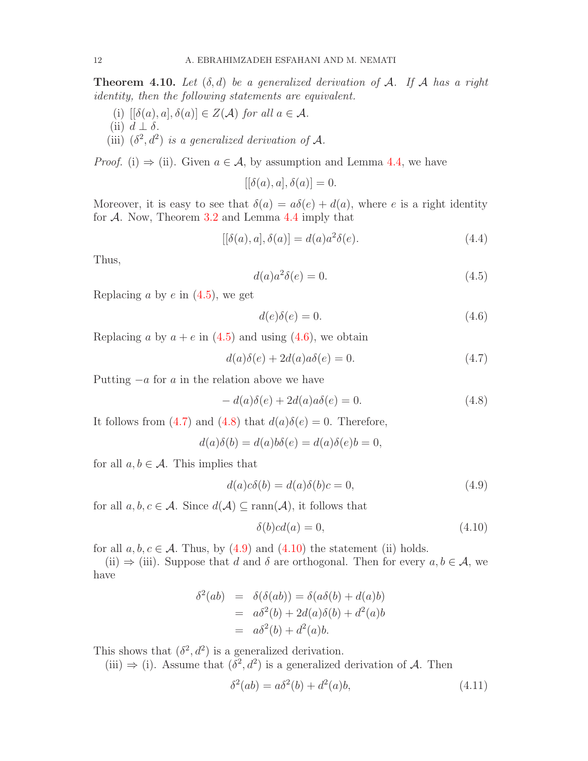**Theorem 4.10.** Let  $(\delta, d)$  be a generalized derivation of A. If A has a right identity, then the following statements are equivalent.

- (i)  $[{\delta}(a), a], {\delta}(a)] \in Z(\mathcal{A})$  for all  $a \in \mathcal{A}$ .
- (ii)  $d \perp \delta$ .
- (iii)  $(\delta^2, d^2)$  is a generalized derivation of A.

*Proof.* (i)  $\Rightarrow$  (ii). Given  $a \in \mathcal{A}$ , by assumption and Lemma [4.4,](#page-8-0) we have

$$
[[\delta(a),a],\delta(a)]=0.
$$

Moreover, it is easy to see that  $\delta(a) = a\delta(e) + d(a)$ , where e is a right identity for  $A$ . Now, Theorem [3.2](#page-5-0) and Lemma [4.4](#page-8-0) imply that

<span id="page-11-7"></span>
$$
[[\delta(a),a],\delta(a)] = d(a)a^2\delta(e). \tag{4.4}
$$

Thus,

<span id="page-11-0"></span>
$$
d(a)a^2\delta(e) = 0.\t\t(4.5)
$$

Replacing a by  $e$  in  $(4.5)$ , we get

<span id="page-11-1"></span>
$$
d(e)\delta(e) = 0.\t\t(4.6)
$$

Replacing a by  $a + e$  in [\(4.5\)](#page-11-0) and using [\(4.6\)](#page-11-1), we obtain

<span id="page-11-2"></span>
$$
d(a)\delta(e) + 2d(a)a\delta(e) = 0.
$$
\n(4.7)

Putting  $-a$  for a in the relation above we have

<span id="page-11-3"></span>
$$
- d(a)\delta(e) + 2d(a)a\delta(e) = 0.
$$
\n(4.8)

It follows from [\(4.7\)](#page-11-2) and [\(4.8\)](#page-11-3) that  $d(a)\delta(e) = 0$ . Therefore,

$$
d(a)\delta(b) = d(a)b\delta(e) = d(a)\delta(e)b = 0,
$$

for all  $a, b \in \mathcal{A}$ . This implies that

<span id="page-11-4"></span>
$$
d(a)c\delta(b) = d(a)\delta(b)c = 0,
$$
\n(4.9)

for all  $a, b, c \in \mathcal{A}$ . Since  $d(\mathcal{A}) \subseteq \text{rann}(\mathcal{A})$ , it follows that

<span id="page-11-5"></span>
$$
\delta(b)cd(a) = 0,\t\t(4.10)
$$

for all  $a, b, c \in \mathcal{A}$ . Thus, by [\(4.9\)](#page-11-4) and [\(4.10\)](#page-11-5) the statement (ii) holds.

(ii)  $\Rightarrow$  (iii). Suppose that d and  $\delta$  are orthogonal. Then for every  $a, b \in \mathcal{A}$ , we have

$$
\delta^2(ab) = \delta(\delta(ab)) = \delta(a\delta(b) + d(a)b)
$$
  
=  $a\delta^2(b) + 2d(a)\delta(b) + d^2(a)b$   
=  $a\delta^2(b) + d^2(a)b$ .

This shows that  $(\delta^2, d^2)$  is a generalized derivation.

(iii)  $\Rightarrow$  (i). Assume that  $(\delta^2, d^2)$  is a generalized derivation of A. Then

<span id="page-11-6"></span>
$$
\delta^2(ab) = a\delta^2(b) + d^2(a)b,
$$
\n(4.11)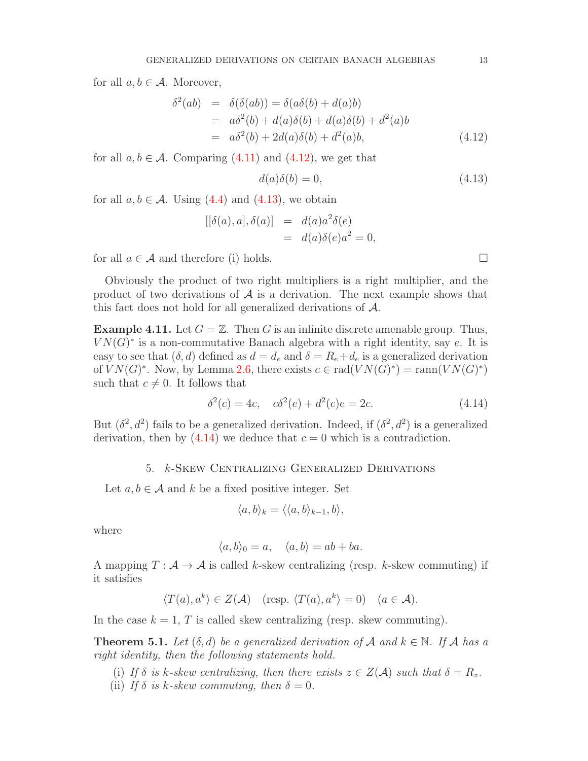for all  $a, b \in \mathcal{A}$ . Moreover,

<span id="page-12-0"></span>
$$
\delta^{2}(ab) = \delta(\delta(ab)) = \delta(a\delta(b) + d(a)b)
$$
  
=  $a\delta^{2}(b) + d(a)\delta(b) + d(a)\delta(b) + d^{2}(a)b$   
=  $a\delta^{2}(b) + 2d(a)\delta(b) + d^{2}(a)b,$  (4.12)

for all  $a, b \in \mathcal{A}$ . Comparing [\(4.11\)](#page-11-6) and [\(4.12\)](#page-12-0), we get that

<span id="page-12-1"></span>
$$
d(a)\delta(b) = 0,\t\t(4.13)
$$

for all  $a, b \in \mathcal{A}$ . Using [\(4.4\)](#page-11-7) and [\(4.13\)](#page-12-1), we obtain

$$
[[\delta(a), a], \delta(a)] = d(a)a^2\delta(e)
$$
  
=  $d(a)\delta(e)a^2 = 0$ ,

for all  $a \in \mathcal{A}$  and therefore (i) holds.

Obviously the product of two right multipliers is a right multiplier, and the product of two derivations of  $\mathcal A$  is a derivation. The next example shows that this fact does not hold for all generalized derivations of A.

**Example 4.11.** Let  $G = \mathbb{Z}$ . Then G is an infinite discrete amenable group. Thus,  $VN(G)^*$  is a non-commutative Banach algebra with a right identity, say e. It is easy to see that  $(\delta, d)$  defined as  $d = d_e$  and  $\delta = R_e + d_e$  is a generalized derivation of  $VN(G)^*$ . Now, by Lemma [2.6,](#page-4-1) there exists  $c \in rad(VN(G)^*) = ram(VN(G)^*)$ such that  $c \neq 0$ . It follows that

<span id="page-12-2"></span>
$$
\delta^2(c) = 4c, \quad c\delta^2(e) + d^2(c)e = 2c. \tag{4.14}
$$

But  $(\delta^2, d^2)$  fails to be a generalized derivation. Indeed, if  $(\delta^2, d^2)$  is a generalized derivation, then by  $(4.14)$  we deduce that  $c = 0$  which is a contradiction.

### 5. k-Skew Centralizing Generalized Derivations

Let  $a, b \in \mathcal{A}$  and k be a fixed positive integer. Set

$$
\langle a,b\rangle_k = \langle \langle a,b\rangle_{k-1},b\rangle,
$$

where

$$
\langle a, b \rangle_0 = a, \quad \langle a, b \rangle = ab + ba.
$$

A mapping  $T : \mathcal{A} \to \mathcal{A}$  is called k-skew centralizing (resp. k-skew commuting) if it satisfies

$$
\langle T(a), a^k \rangle \in Z(\mathcal{A})
$$
 (resp.  $\langle T(a), a^k \rangle = 0$ )  $(a \in \mathcal{A})$ .

In the case  $k = 1, T$  is called skew centralizing (resp. skew commuting).

<span id="page-12-3"></span>**Theorem 5.1.** Let  $(\delta, d)$  be a generalized derivation of A and  $k \in \mathbb{N}$ . If A has a right identity, then the following statements hold.

- (i) If  $\delta$  is k-skew centralizing, then there exists  $z \in Z(\mathcal{A})$  such that  $\delta = R_z$ .
- (ii) If  $\delta$  is k-skew commuting, then  $\delta = 0$ .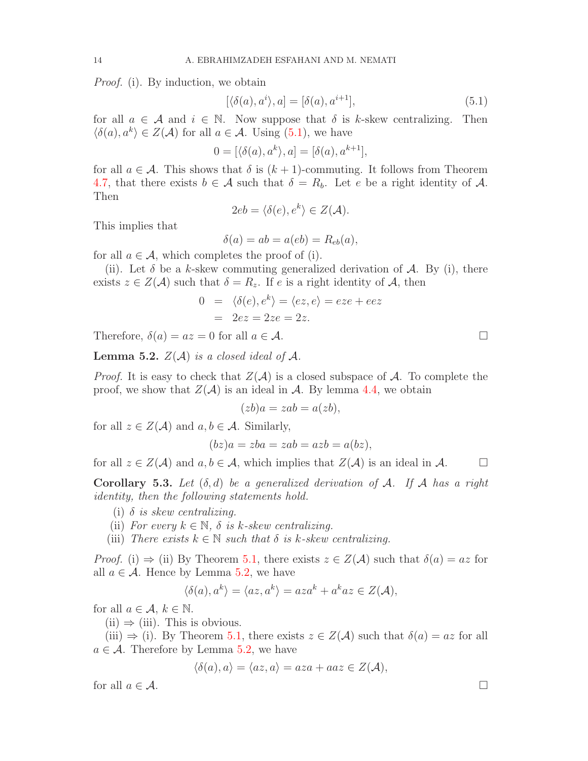*Proof.* (i). By induction, we obtain

<span id="page-13-0"></span>
$$
[\langle \delta(a), a^i \rangle, a] = [\delta(a), a^{i+1}], \tag{5.1}
$$

for all  $a \in \mathcal{A}$  and  $i \in \mathbb{N}$ . Now suppose that  $\delta$  is k-skew centralizing. Then  $\langle \delta(a), a^k \rangle \in Z(\mathcal{A})$  for all  $a \in \mathcal{A}$ . Using  $(5.1)$ , we have

$$
0 = [\langle \delta(a), a^k \rangle, a] = [\delta(a), a^{k+1}],
$$

for all  $a \in \mathcal{A}$ . This shows that  $\delta$  is  $(k+1)$ -commuting. It follows from Theorem [4.7,](#page-9-1) that there exists  $b \in \mathcal{A}$  such that  $\delta = R_b$ . Let e be a right identity of  $\mathcal{A}$ . Then

$$
2eb = \langle \delta(e), e^k \rangle \in Z(\mathcal{A}).
$$

This implies that

$$
\delta(a) = ab = a(eb) = R_{eb}(a),
$$

for all  $a \in \mathcal{A}$ , which completes the proof of (i).

(ii). Let  $\delta$  be a k-skew commuting generalized derivation of A. By (i), there exists  $z \in Z(\mathcal{A})$  such that  $\delta = R_z$ . If e is a right identity of  $\mathcal{A}$ , then

$$
0 = \langle \delta(e), e^k \rangle = \langle ez, e \rangle = eze + eez
$$
  
= 2ez = 2ze = 2z.

Therefore,  $\delta(a) = az = 0$  for all  $a \in \mathcal{A}$ .

<span id="page-13-1"></span>**Lemma 5.2.**  $Z(\mathcal{A})$  is a closed ideal of  $\mathcal{A}$ .

*Proof.* It is easy to check that  $Z(\mathcal{A})$  is a closed subspace of  $\mathcal{A}$ . To complete the proof, we show that  $Z(\mathcal{A})$  is an ideal in  $\mathcal{A}$ . By lemma [4.4,](#page-8-0) we obtain

$$
(zb)a = zab = a(zb),
$$

for all  $z \in Z(\mathcal{A})$  and  $a, b \in \mathcal{A}$ . Similarly,

$$
(bz)a = zba = zab = azb = a(bz),
$$

for all  $z \in Z(\mathcal{A})$  and  $a, b \in \mathcal{A}$ , which implies that  $Z(\mathcal{A})$  is an ideal in  $\mathcal{A}$ .

Corollary 5.3. Let  $(\delta, d)$  be a generalized derivation of A. If A has a right identity, then the following statements hold.

- (i)  $\delta$  is skew centralizing.
- (ii) For every  $k \in \mathbb{N}$ ,  $\delta$  is k-skew centralizing.
- (iii) There exists  $k \in \mathbb{N}$  such that  $\delta$  is k-skew centralizing.

*Proof.* (i)  $\Rightarrow$  (ii) By Theorem [5.1,](#page-12-3) there exists  $z \in Z(\mathcal{A})$  such that  $\delta(a) = az$  for all  $a \in \mathcal{A}$ . Hence by Lemma [5.2,](#page-13-1) we have

$$
\langle \delta(a), a^k \rangle = \langle az, a^k \rangle = aza^k + a^k az \in Z(\mathcal{A}),
$$

for all  $a \in \mathcal{A}, k \in \mathbb{N}$ .

 $(ii) \Rightarrow (iii)$ . This is obvious.

(iii)  $\Rightarrow$  (i). By Theorem [5.1,](#page-12-3) there exists  $z \in Z(\mathcal{A})$  such that  $\delta(a) = az$  for all  $a \in \mathcal{A}$ . Therefore by Lemma [5.2,](#page-13-1) we have

$$
\langle \delta(a), a \rangle = \langle az, a \rangle = aza + aaz \in Z(\mathcal{A}),
$$

for all  $a \in \mathcal{A}$ .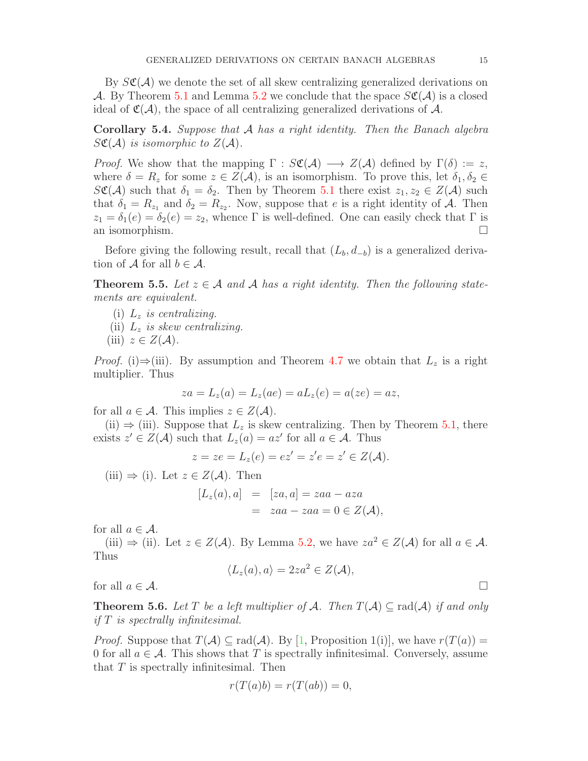By  $S\mathfrak{C}(\mathcal{A})$  we denote the set of all skew centralizing generalized derivations on A. By Theorem [5.1](#page-12-3) and Lemma [5.2](#page-13-1) we conclude that the space  $S\mathfrak{C}(\mathcal{A})$  is a closed ideal of  $\mathfrak{C}(\mathcal{A})$ , the space of all centralizing generalized derivations of  $\mathcal{A}$ .

Corollary 5.4. Suppose that A has a right identity. Then the Banach algebra  $S\mathfrak{C}(\mathcal{A})$  is isomorphic to  $Z(\mathcal{A})$ .

*Proof.* We show that the mapping  $\Gamma : S\mathfrak{C}(\mathcal{A}) \longrightarrow Z(\mathcal{A})$  defined by  $\Gamma(\delta) := z$ , where  $\delta = R_z$  for some  $z \in Z(\mathcal{A})$ , is an isomorphism. To prove this, let  $\delta_1, \delta_2 \in$  $S\mathfrak{C}(\mathcal{A})$  such that  $\delta_1 = \delta_2$ . Then by Theorem [5.1](#page-12-3) there exist  $z_1, z_2 \in Z(\mathcal{A})$  such that  $\delta_1 = R_{z_1}$  and  $\delta_2 = R_{z_2}$ . Now, suppose that e is a right identity of A. Then  $z_1 = \delta_1(e) = \delta_2(e) = z_2$ , whence Γ is well-defined. One can easily check that Γ is an isomorphism.  $\Box$ 

Before giving the following result, recall that  $(L_b, d_{-b})$  is a generalized derivation of  $A$  for all  $b \in A$ .

<span id="page-14-0"></span>**Theorem 5.5.** Let  $z \in A$  and A has a right identity. Then the following statements are equivalent.

- (i)  $L_z$  is centralizing.
- (ii)  $L_z$  is skew centralizing.
- (iii)  $z \in Z(\mathcal{A})$ .

*Proof.* (i)⇒(iii). By assumption and Theorem [4.7](#page-9-1) we obtain that  $L_z$  is a right multiplier. Thus

$$
za = L_z(a) = L_z(ae) = aL_z(e) = a(ze) = az,
$$

for all  $a \in \mathcal{A}$ . This implies  $z \in Z(\mathcal{A})$ .

(ii)  $\Rightarrow$  (iii). Suppose that  $L_z$  is skew centralizing. Then by Theorem [5.1,](#page-12-3) there exists  $z' \in Z(\mathcal{A})$  such that  $L_z(a) = az'$  for all  $a \in \mathcal{A}$ . Thus

$$
z = ze = L_z(e) = ez' = z'e = z' \in Z(\mathcal{A}).
$$

(iii)  $\Rightarrow$  (i). Let  $z \in Z(\mathcal{A})$ . Then

$$
[L_z(a), a] = [za, a] = zaa - aza
$$
  
=  $zaa - zaa = 0 \in Z(\mathcal{A}),$ 

for all  $a \in \mathcal{A}$ .

(iii)  $\Rightarrow$  (ii). Let  $z \in Z(\mathcal{A})$ . By Lemma [5.2,](#page-13-1) we have  $z a^2 \in Z(\mathcal{A})$  for all  $a \in \mathcal{A}$ . Thus

$$
\langle L_z(a),a\rangle=2za^2\in Z(\mathcal{A}),
$$

for all  $a \in \mathcal{A}$ .

**Theorem 5.6.** Let T be a left multiplier of A. Then  $T(A) \subseteq rad(A)$  if and only if T is spectrally infinitesimal.

*Proof.* Suppose that  $T(A) \subseteq rad(A)$ . By [\[1,](#page-15-17) Proposition 1(i)], we have  $r(T(a)) =$ 0 for all  $a \in \mathcal{A}$ . This shows that T is spectrally infinitesimal. Conversely, assume that  $T$  is spectrally infinitesimal. Then

$$
r(T(a)b) = r(T(ab)) = 0,
$$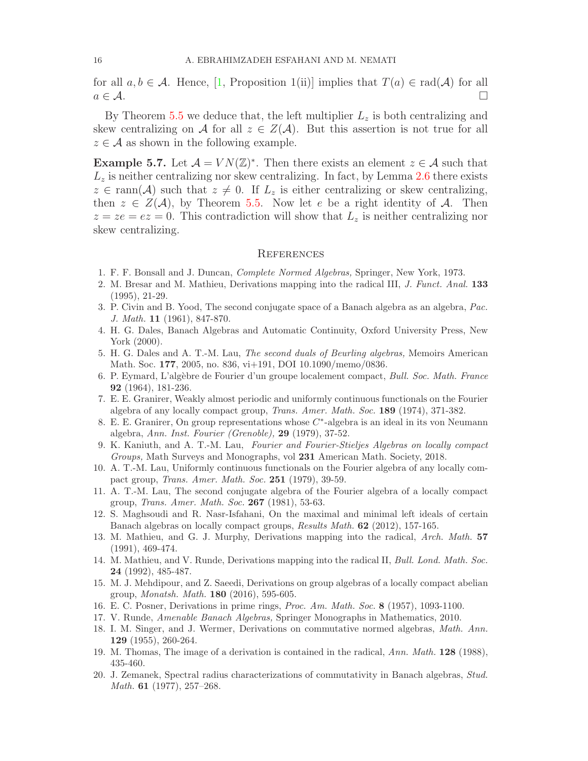for all  $a, b \in \mathcal{A}$ . Hence, [\[1,](#page-15-17) Proposition 1(ii)] implies that  $T(a) \in rad(\mathcal{A})$  for all  $a \in \mathcal{A}$ .

By Theorem [5.5](#page-14-0) we deduce that, the left multiplier  $L_z$  is both centralizing and skew centralizing on A for all  $z \in Z(\mathcal{A})$ . But this assertion is not true for all  $z \in \mathcal{A}$  as shown in the following example.

**Example 5.7.** Let  $\mathcal{A} = VN(\mathbb{Z})^*$ . Then there exists an element  $z \in \mathcal{A}$  such that  $L<sub>z</sub>$  is neither centralizing nor skew centralizing. In fact, by Lemma [2.6](#page-4-1) there exists  $z \in \text{rann}(\mathcal{A})$  such that  $z \neq 0$ . If  $L_z$  is either centralizing or skew centralizing, then  $z \in Z(\mathcal{A})$ , by Theorem [5.5.](#page-14-0) Now let e be a right identity of  $\mathcal{A}$ . Then  $z = ze = ez = 0$ . This contradiction will show that  $L<sub>z</sub>$  is neither centralizing nor skew centralizing.

### **REFERENCES**

- <span id="page-15-17"></span><span id="page-15-3"></span>1. F. F. Bonsall and J. Duncan, Complete Normed Algebras, Springer, New York, 1973.
- <span id="page-15-15"></span>2. M. Bresar and M. Mathieu, Derivations mapping into the radical III, J. Funct. Anal. 133 (1995), 21-29.
- 3. P. Civin and B. Yood, The second conjugate space of a Banach algebra as an algebra, Pac. J. Math. 11 (1961), 847-870.
- <span id="page-15-0"></span>4. H. G. Dales, Banach Algebras and Automatic Continuity, Oxford University Press, New York (2000).
- <span id="page-15-13"></span>5. H. G. Dales and A. T.-M. Lau, The second duals of Beurling algebras, Memoirs American Math. Soc. 177, 2005, no. 836, vi+191, DOI 10.1090/memo/0836.
- <span id="page-15-10"></span>6. P. Eymard, L'alg`ebre de Fourier d'un groupe localement compact, Bull. Soc. Math. France 92 (1964), 181-236.
- <span id="page-15-14"></span>7. E. E. Granirer, Weakly almost periodic and uniformly continuous functionals on the Fourier algebra of any locally compact group, Trans. Amer. Math. Soc. 189 (1974), 371-382.
- <span id="page-15-18"></span>8. E. E. Granirer, On group representations whose  $C^*$ -algebra is an ideal in its von Neumann algebra, Ann. Inst. Fourier (Grenoble), 29 (1979), 37-52.
- <span id="page-15-12"></span>9. K. Kaniuth, and A. T.-M. Lau, Fourier and Fourier-Stieljes Algebras on locally compact Groups, Math Surveys and Monographs, vol 231 American Math. Society, 2018.
- <span id="page-15-16"></span>10. A. T.-M. Lau, Uniformly continuous functionals on the Fourier algebra of any locally compact group, Trans. Amer. Math. Soc. 251 (1979), 39-59.
- <span id="page-15-8"></span>11. A. T.-M. Lau, The second conjugate algebra of the Fourier algebra of a locally compact group, Trans. Amer. Math. Soc. 267 (1981), 53-63.
- <span id="page-15-7"></span>12. S. Maghsoudi and R. Nasr-Isfahani, On the maximal and minimal left ideals of certain Banach algebras on locally compact groups, Results Math. 62 (2012), 157-165.
- <span id="page-15-4"></span>13. M. Mathieu, and G. J. Murphy, Derivations mapping into the radical, Arch. Math. 57 (1991), 469-474.
- <span id="page-15-5"></span>14. M. Mathieu, and V. Runde, Derivations mapping into the radical II, Bull. Lond. Math. Soc. 24 (1992), 485-487.
- <span id="page-15-6"></span>15. M. J. Mehdipour, and Z. Saeedi, Derivations on group algebras of a locally compact abelian group, Monatsh. Math. 180 (2016), 595-605.
- <span id="page-15-11"></span><span id="page-15-9"></span>16. E. C. Posner, Derivations in prime rings, Proc. Am. Math. Soc. 8 (1957), 1093-1100.
- <span id="page-15-1"></span>17. V. Runde, Amenable Banach Algebras, Springer Monographs in Mathematics, 2010.
- 18. I. M. Singer, and J. Wermer, Derivations on commutative normed algebras, Math. Ann. 129 (1955), 260-264.
- <span id="page-15-19"></span><span id="page-15-2"></span>19. M. Thomas, The image of a derivation is contained in the radical, Ann. Math. 128 (1988), 435-460.
- 20. J. Zemanek, Spectral radius characterizations of commutativity in Banach algebras, Stud. *Math.* **61** (1977), 257–268.